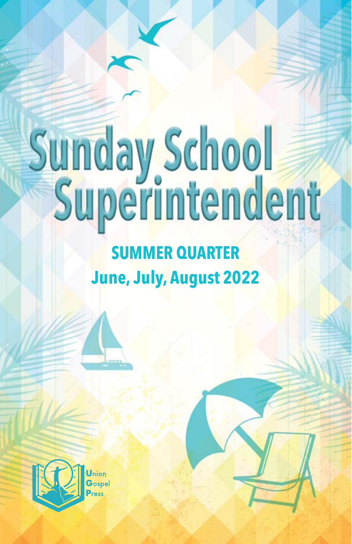# Sunday School

# **SUMMER QUARTER June, July, August 2022**

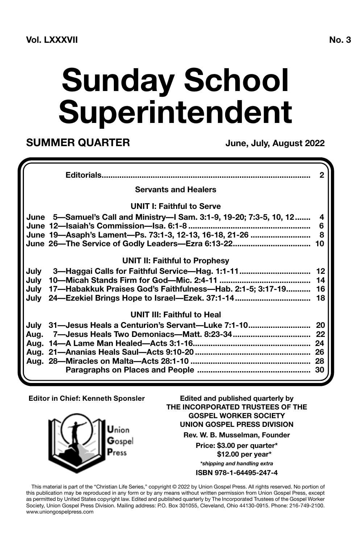# **Sunday School Superintendent**

**SUMMER QUARTER** June, July, August 2022

|                                                                      | 2      |
|----------------------------------------------------------------------|--------|
| <b>Servants and Healers</b>                                          |        |
| UNIT I: Faithful to Serve                                            |        |
| June 5—Samuel's Call and Ministry—I Sam. 3:1-9, 19-20; 7:3-5, 10, 12 | 4<br>6 |
| June 19-Asaph's Lament-Ps. 73:1-3, 12-13, 16-18, 21-26               | 8      |
| June 26-The Service of Godly Leaders-Ezra 6:13-22                    | 10     |
| <b>UNIT II: Faithful to Prophesy</b>                                 |        |
| July                                                                 |        |
| Julv                                                                 |        |
| 17-Habakkuk Praises God's Faithfulness-Hab. 2:1-5; 3:17-19<br>July   | 16     |
|                                                                      | 18     |
| <b>UNIT III: Faithful to Heal</b>                                    |        |
| July 31-Jesus Heals a Centurion's Servant-Luke 7:1-10 20             |        |
| Aug. 7—Jesus Heals Two Demoniacs—Matt. 8:23-34                       | 22     |
|                                                                      |        |
|                                                                      | 26     |
|                                                                      |        |
|                                                                      |        |

#### **Editor in Chief: Kenneth Sponsler**



This material is part of the "Christian Life Series," copyright © 2022 by Union Gospel Press. All rights reserved. No portion of this publication may be reproduced in any form or by any means without written permission from Union Gospel Press, except as permitted by United States copyright law. Edited and published quarterly by The Incorporated Trustees of the Gospel Worker Society, Union Gospel Press Division. Mailing address: P.O. Box 301055, Cleveland, Ohio 44130-0915. Phone: 216-749-2100. www.uniongospelpress.com

**Edited and published quarterly by THE INCORPORATED TRUSTEES OF THE GOSPEL WORKER SOCIETY UNION GOSPEL PRESS DIVISION Rev. W. B. Musselman, Founder Price: \$3.00 per quarter\* \$12.00 per year\*** *\*shipping and handling extra* **ISBN 978-1-64495-247-4**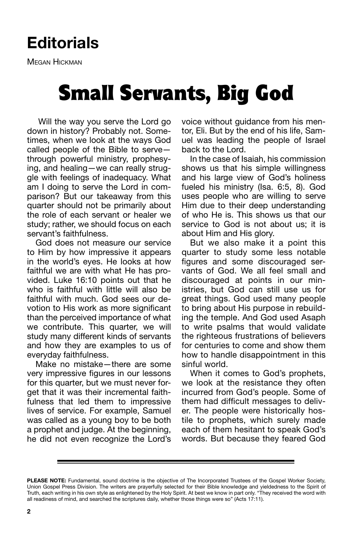### **Editorials**

Megan Hickman

## Small Servants, Big God

 Will the way you serve the Lord go down in history? Probably not. Sometimes, when we look at the ways God called people of the Bible to serve through powerful ministry, prophesying, and healing—we can really struggle with feelings of inadequacy. What am I doing to serve the Lord in comparison? But our takeaway from this quarter should not be primarily about the role of each servant or healer we study; rather, we should focus on each servant's faithfulness.

God does not measure our service to Him by how impressive it appears in the world's eyes. He looks at how faithful we are with what He has provided. Luke 16:10 points out that he who is faithful with little will also be faithful with much. God sees our devotion to His work as more significant than the perceived importance of what we contribute. This quarter, we will study many different kinds of servants and how they are examples to us of everyday faithfulness.

Make no mistake—there are some very impressive figures in our lessons for this quarter, but we must never forget that it was their incremental faithfulness that led them to impressive lives of service. For example, Samuel was called as a young boy to be both a prophet and judge. At the beginning, he did not even recognize the Lord's voice without guidance from his mentor, Eli. But by the end of his life, Samuel was leading the people of Israel back to the Lord.

In the case of Isaiah, his commission shows us that his simple willingness and his large view of God's holiness fueled his ministry (Isa. 6:5, 8). God uses people who are willing to serve Him due to their deep understanding of who He is. This shows us that our service to God is not about us; it is about Him and His glory.

But we also make it a point this quarter to study some less notable figures and some discouraged servants of God. We all feel small and discouraged at points in our ministries, but God can still use us for great things. God used many people to bring about His purpose in rebuilding the temple. And God used Asaph to write psalms that would validate the righteous frustrations of believers for centuries to come and show them how to handle disappointment in this sinful world.

When it comes to God's prophets, we look at the resistance they often incurred from God's people. Some of them had difficult messages to deliver. The people were historically hostile to prophets, which surely made each of them hesitant to speak God's words. But because they feared God

**PLEASE NOTE:** Fundamental, sound doctrine is the objective of The Incorporated Trustees of the Gospel Worker Society, Union Gospel Press Division. The writers are prayerfully selected for their Bible knowledge and yieldedness to the Spirit of Truth, each writing in his own style as enlightened by the Holy Spirit. At best we know in part only. "They received the word with all readiness of mind, and searched the scriptures daily, whether those things were so" (Acts 17:11).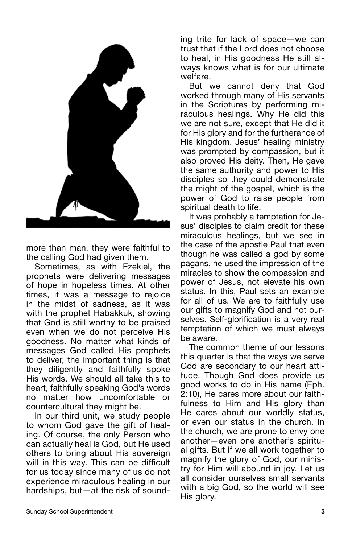

more than man, they were faithful to the calling God had given them.

Sometimes, as with Ezekiel, the prophets were delivering messages of hope in hopeless times. At other times, it was a message to rejoice in the midst of sadness, as it was with the prophet Habakkuk, showing that God is still worthy to be praised even when we do not perceive His goodness. No matter what kinds of messages God called His prophets to deliver, the important thing is that they diligently and faithfully spoke His words. We should all take this to heart, faithfully speaking God's words no matter how uncomfortable or countercultural they might be.

In our third unit, we study people to whom God gave the gift of healing. Of course, the only Person who can actually heal is God, but He used others to bring about His sovereign will in this way. This can be difficult for us today since many of us do not experience miraculous healing in our hardships, but—at the risk of sounding trite for lack of space—we can trust that if the Lord does not choose to heal, in His goodness He still always knows what is for our ultimate welfare.

But we cannot deny that God worked through many of His servants in the Scriptures by performing miraculous healings. Why He did this we are not sure, except that He did it for His glory and for the furtherance of His kingdom. Jesus' healing ministry was prompted by compassion, but it also proved His deity. Then, He gave the same authority and power to His disciples so they could demonstrate the might of the gospel, which is the power of God to raise people from spiritual death to life.

It was probably a temptation for Jesus' disciples to claim credit for these miraculous healings, but we see in the case of the apostle Paul that even though he was called a god by some pagans, he used the impression of the miracles to show the compassion and power of Jesus, not elevate his own status. In this, Paul sets an example for all of us. We are to faithfully use our gifts to magnify God and not ourselves. Self-glorification is a very real temptation of which we must always be aware.

The common theme of our lessons this quarter is that the ways we serve God are secondary to our heart attitude. Though God does provide us good works to do in His name (Eph. 2:10), He cares more about our faithfulness to Him and His glory than He cares about our worldly status, or even our status in the church. In the church, we are prone to envy one another—even one another's spiritual gifts. But if we all work together to magnify the glory of God, our ministry for Him will abound in joy. Let us all consider ourselves small servants with a big God, so the world will see His glory.